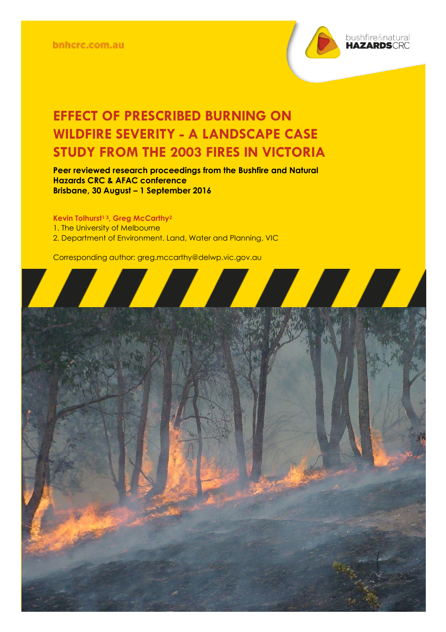bnhcrc.com.au



## **EFFECT OF PRESCRIBED BURNING ON WILDFIRE SEVERITY - A LANDSCAPE CASE STUDY FROM THE 2003 FIRES IN VICTORIA**

**Peer reviewed research proceedings from the Bushfire and Natural Hazards CRC & AFAC conference Brisbane, 30 August – 1 September 2016**

**Kevin Tolhurst<sup>1</sup> <sup>3</sup>, Greg McCarthy<sup>2</sup>** 1. The University of Melbourne 2. Department of Environment, Land, Water and Planning, VIC

Corresponding author: greg.mccarthy@delwp.vic.gov.au

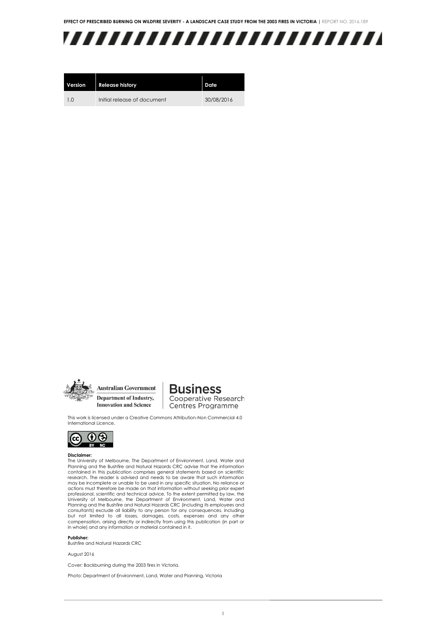

| Version        | <b>Release history</b>      | Date       |
|----------------|-----------------------------|------------|
| 1 <sub>0</sub> | Initial release of document | 30/08/2016 |



**Australian Government** Department of Industry, **Innovation and Science** 

### **Business Cooperative Research** Centres Programme

This work is licensed under a Creative Commons Attribution-Non Commercial 4.0 International Licence.



#### **Disclaimer:**

The University of Melbourne, The Department of Environment, Land, Water and Planning and the Bushfire and Natural Hazards CRC advise that the information contained in this publication comprises general statements based on scientific research. The reader is advised and needs to be aware that such information may be incomplete or unable to be used in any specific situation. No reliance or actions must therefore be made on that information without seeking prior expert professional, scientific and technical advice. To the extent permitted by law, the University of Melbourne, the Department of Environment, Land, Water and Planning and the Bushfire and Natural Hazards CRC (including its employees and consultants) exclude all liability to any person for any consequences, including but not limited to all losses, damages, costs, expenses and any other compensation, arising directly or indirectly from using this publication (in part or in whole) and any information or material contained in it.

#### **Publisher:**

Bushfire and Natural Hazards CRC

August 2016

Cover: Backburning during the 2003 fires in Victoria.

Photo: Department of Environment, Land, Water and Planning, Victoria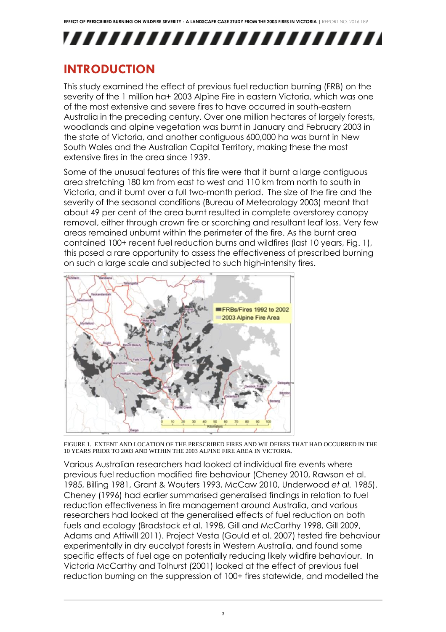# ,,,,,,,,,,,,,,,,,,,,,,,,,

### **INTRODUCTION**

This study examined the effect of previous fuel reduction burning (FRB) on the severity of the 1 million ha+ 2003 Alpine Fire in eastern Victoria, which was one of the most extensive and severe fires to have occurred in south-eastern Australia in the preceding century. Over one million hectares of largely forests, woodlands and alpine vegetation was burnt in January and February 2003 in the state of Victoria, and another contiguous 600,000 ha was burnt in New South Wales and the Australian Capital Territory, making these the most extensive fires in the area since 1939.

Some of the unusual features of this fire were that it burnt a large contiguous area stretching 180 km from east to west and 110 km from north to south in Victoria, and it burnt over a full two-month period. The size of the fire and the severity of the seasonal conditions (Bureau of Meteorology 2003) meant that about 49 per cent of the area burnt resulted in complete overstorey canopy removal, either through crown fire or scorching and resultant leaf loss. Very few areas remained unburnt within the perimeter of the fire. As the burnt area contained 100+ recent fuel reduction burns and wildfires (last 10 years, Fig. 1), this posed a rare opportunity to assess the effectiveness of prescribed burning on such a large scale and subjected to such high-intensity fires.



FIGURE 1. EXTENT AND LOCATION OF THE PRESCRIBED FIRES AND WILDFIRES THAT HAD OCCURRED IN THE 10 YEARS PRIOR TO 2003 AND WITHIN THE 2003 ALPINE FIRE AREA IN VICTORIA.

Various Australian researchers had looked at individual fire events where previous fuel reduction modified fire behaviour (Cheney 2010, Rawson et al. 1985, Billing 1981, Grant & Wouters 1993, McCaw 2010, Underwood *et al.* 1985). Cheney (1996) had earlier summarised generalised findings in relation to fuel reduction effectiveness in fire management around Australia, and various researchers had looked at the generalised effects of fuel reduction on both fuels and ecology (Bradstock et al. 1998, Gill and McCarthy 1998, Gill 2009, Adams and Attiwill 2011). Project Vesta (Gould et al. 2007) tested fire behaviour experimentally in dry eucalypt forests in Western Australia, and found some specific effects of fuel age on potentially reducing likely wildfire behaviour. In Victoria McCarthy and Tolhurst (2001) looked at the effect of previous fuel reduction burning on the suppression of 100+ fires statewide, and modelled the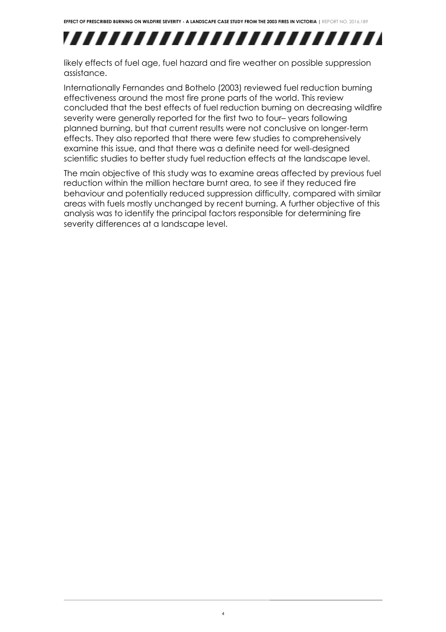## ,,,,,,,,,,,,,,,,,,,,,,,,,,

likely effects of fuel age, fuel hazard and fire weather on possible suppression assistance.

Internationally Fernandes and Bothelo (2003) reviewed fuel reduction burning effectiveness around the most fire prone parts of the world. This review concluded that the best effects of fuel reduction burning on decreasing wildfire severity were generally reported for the first two to four– years following planned burning, but that current results were not conclusive on longer-term effects. They also reported that there were few studies to comprehensively examine this issue, and that there was a definite need for well-designed scientific studies to better study fuel reduction effects at the landscape level.

The main objective of this study was to examine areas affected by previous fuel reduction within the million hectare burnt area, to see if they reduced fire behaviour and potentially reduced suppression difficulty, compared with similar areas with fuels mostly unchanged by recent burning. A further objective of this analysis was to identify the principal factors responsible for determining fire severity differences at a landscape level.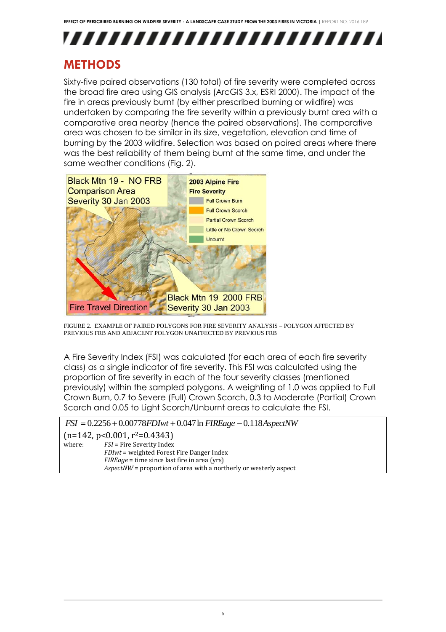# ,,,,,,,,,,,,,,,,,,,,,,,,,,

### **METHODS**

Sixty-five paired observations (130 total) of fire severity were completed across the broad fire area using GIS analysis (ArcGIS 3.x, ESRI 2000). The impact of the fire in areas previously burnt (by either prescribed burning or wildfire) was undertaken by comparing the fire severity within a previously burnt area with a comparative area nearby (hence the paired observations). The comparative area was chosen to be similar in its size, vegetation, elevation and time of burning by the 2003 wildfire. Selection was based on paired areas where there was the best reliability of them being burnt at the same time, and under the same weather conditions (Fig. 2).



FIGURE 2. EXAMPLE OF PAIRED POLYGONS FOR FIRE SEVERITY ANALYSIS – POLYGON AFFECTED BY PREVIOUS FRB AND ADJACENT POLYGON UNAFFECTED BY PREVIOUS FRB

A Fire Severity Index (FSI) was calculated (for each area of each fire severity class) as a single indicator of fire severity. This FSI was calculated using the proportion of fire severity in each of the four severity classes (mentioned previously) within the sampled polygons. A weighting of 1.0 was applied to Full Crown Burn, 0.7 to Severe (Full) Crown Scorch, 0.3 to Moderate (Partial) Crown Scorch and 0.05 to Light Scorch/Unburnt areas to calculate the FSI.

*FSI* 0.2256 0.00778*FDIwt* 0.047ln *FIREage* 0.118*AspectNW*

 $(n=142, p<0.001, r<sup>2</sup>=0.4343)$ 

where: *FSI* = Fire Severity Index *FDIwt* = weighted Forest Fire Danger Index *FIREage* = time since last fire in area (yrs) *AspectNW* = proportion of area with a northerly or westerly aspect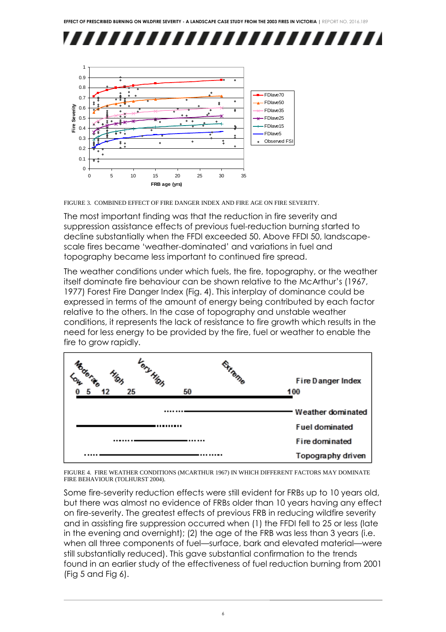



FIGURE 3. COMBINED EFFECT OF FIRE DANGER INDEX AND FIRE AGE ON FIRE SEVERITY.

The most important finding was that the reduction in fire severity and suppression assistance effects of previous fuel-reduction burning started to decline substantially when the FFDI exceeded 50. Above FFDI 50, landscapescale fires became 'weather-dominated' and variations in fuel and topography became less important to continued fire spread.

The weather conditions under which fuels, the fire, topography, or the weather itself dominate fire behaviour can be shown relative to the McArthur's (1967, 1977) Forest Fire Danger Index (Fig. 4). This interplay of dominance could be expressed in terms of the amount of energy being contributed by each factor relative to the others. In the case of topography and unstable weather conditions, it represents the lack of resistance to fire growth which results in the need for less energy to be provided by the fire, fuel or weather to enable the fire to grow rapidly.



FIGURE 4. FIRE WEATHER CONDITIONS (MCARTHUR 1967) IN WHICH DIFFERENT FACTORS MAY DOMINATE FIRE BEHAVIOUR (TOLHURST 2004).

Some fire-severity reduction effects were still evident for FRBs up to 10 years old, but there was almost no evidence of FRBs older than 10 years having any effect on fire-severity. The greatest effects of previous FRB in reducing wildfire severity and in assisting fire suppression occurred when (1) the FFDI fell to 25 or less (late in the evening and overnight); (2) the age of the FRB was less than 3 years (i.e. when all three components of fuel—surface, bark and elevated material—were still substantially reduced). This gave substantial confirmation to the trends found in an earlier study of the effectiveness of fuel reduction burning from 2001 (Fig 5 and Fig 6).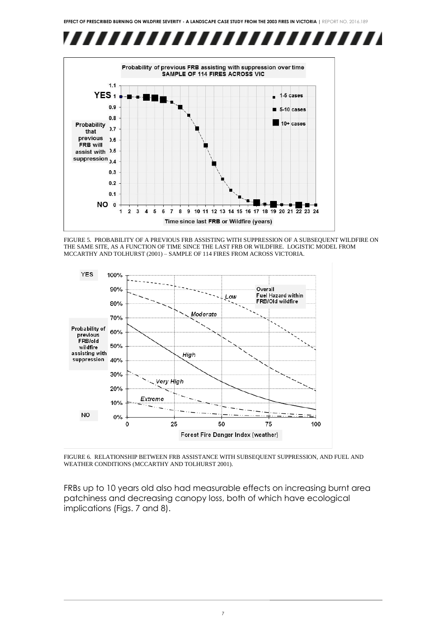



FIGURE 5. PROBABILITY OF A PREVIOUS FRB ASSISTING WITH SUPPRESSION OF A SUBSEQUENT WILDFIRE ON THE SAME SITE, AS A FUNCTION OF TIME SINCE THE LAST FRB OR WILDFIRE. LOGISTIC MODEL FROM MCCARTHY AND TOLHURST (2001) – SAMPLE OF 114 FIRES FROM ACROSS VICTORIA.



FIGURE 6. RELATIONSHIP BETWEEN FRB ASSISTANCE WITH SUBSEQUENT SUPPRESSION, AND FUEL AND WEATHER CONDITIONS (MCCARTHY AND TOLHURST 2001).

FRBs up to 10 years old also had measurable effects on increasing burnt area patchiness and decreasing canopy loss, both of which have ecological implications (Figs. 7 and 8).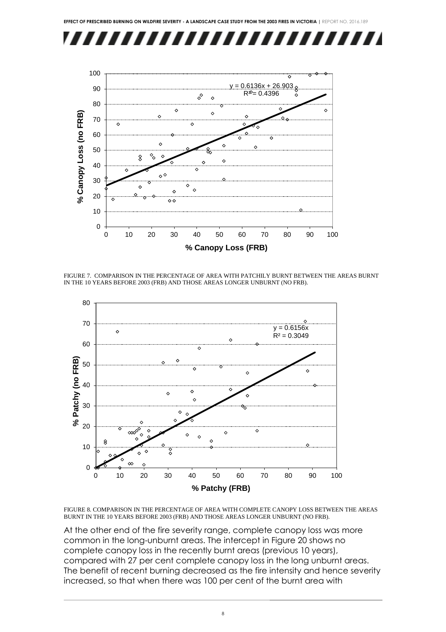



FIGURE 7. COMPARISON IN THE PERCENTAGE OF AREA WITH PATCHILY BURNT BETWEEN THE AREAS BURNT IN THE 10 YEARS BEFORE 2003 (FRB) AND THOSE AREAS LONGER UNBURNT (NO FRB).



FIGURE 8. COMPARISON IN THE PERCENTAGE OF AREA WITH COMPLETE CANOPY LOSS BETWEEN THE AREAS BURNT IN THE 10 YEARS BEFORE 2003 (FRB) AND THOSE AREAS LONGER UNBURNT (NO FRB).

At the other end of the fire severity range, complete canopy loss was more common in the long-unburnt areas. The intercept in Figure 20 shows no complete canopy loss in the recently burnt areas (previous 10 years), compared with 27 per cent complete canopy loss in the long unburnt areas. The benefit of recent burning decreased as the fire intensity and hence severity increased, so that when there was 100 per cent of the burnt area with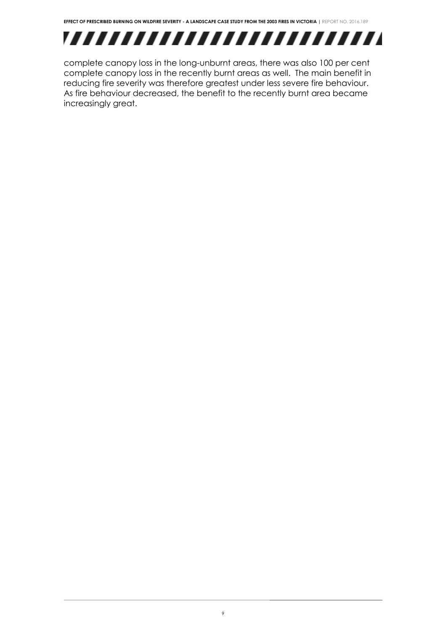

complete canopy loss in the long-unburnt areas, there was also 100 per cent complete canopy loss in the recently burnt areas as well. The main benefit in reducing fire severity was therefore greatest under less severe fire behaviour. As fire behaviour decreased, the benefit to the recently burnt area became increasingly great.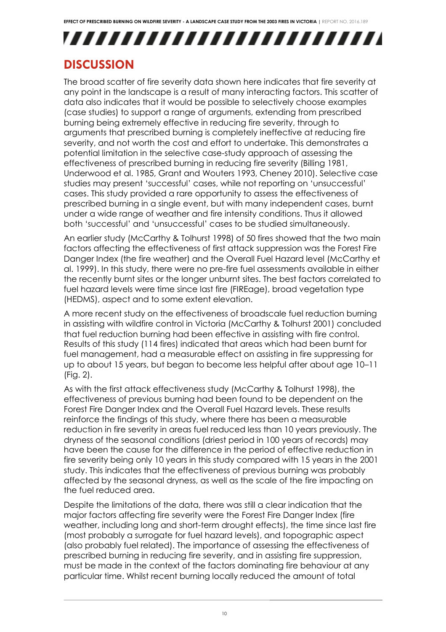# ,,,,,,,,,,,,,,,,,,,,,,,,,,

### **DISCUSSION**

The broad scatter of fire severity data shown here indicates that fire severity at any point in the landscape is a result of many interacting factors. This scatter of data also indicates that it would be possible to selectively choose examples (case studies) to support a range of arguments, extending from prescribed burning being extremely effective in reducing fire severity, through to arguments that prescribed burning is completely ineffective at reducing fire severity, and not worth the cost and effort to undertake. This demonstrates a potential limitation in the selective case-study approach of assessing the effectiveness of prescribed burning in reducing fire severity (Billing 1981, Underwood et al. 1985, Grant and Wouters 1993, Cheney 2010). Selective case studies may present 'successful' cases, while not reporting on 'unsuccessful' cases. This study provided a rare opportunity to assess the effectiveness of prescribed burning in a single event, but with many independent cases, burnt under a wide range of weather and fire intensity conditions. Thus it allowed both 'successful' and 'unsuccessful' cases to be studied simultaneously.

An earlier study (McCarthy & Tolhurst 1998) of 50 fires showed that the two main factors affecting the effectiveness of first attack suppression was the Forest Fire Danger Index (the fire weather) and the Overall Fuel Hazard level (McCarthy et al. 1999). In this study, there were no pre-fire fuel assessments available in either the recently burnt sites or the longer unburnt sites. The best factors correlated to fuel hazard levels were time since last fire (FIREage), broad vegetation type (HEDMS), aspect and to some extent elevation.

A more recent study on the effectiveness of broadscale fuel reduction burning in assisting with wildfire control in Victoria (McCarthy & Tolhurst 2001) concluded that fuel reduction burning had been effective in assisting with fire control. Results of this study (114 fires) indicated that areas which had been burnt for fuel management, had a measurable effect on assisting in fire suppressing for up to about 15 years, but began to become less helpful after about age 10–11 (Fig. 2).

As with the first attack effectiveness study (McCarthy & Tolhurst 1998), the effectiveness of previous burning had been found to be dependent on the Forest Fire Danger Index and the Overall Fuel Hazard levels. These results reinforce the findings of this study, where there has been a measurable reduction in fire severity in areas fuel reduced less than 10 years previously. The dryness of the seasonal conditions (driest period in 100 years of records) may have been the cause for the difference in the period of effective reduction in fire severity being only 10 years in this study compared with 15 years in the 2001 study. This indicates that the effectiveness of previous burning was probably affected by the seasonal dryness, as well as the scale of the fire impacting on the fuel reduced area.

Despite the limitations of the data, there was still a clear indication that the major factors affecting fire severity were the Forest Fire Danger Index (fire weather, including long and short-term drought effects), the time since last fire (most probably a surrogate for fuel hazard levels), and topographic aspect (also probably fuel related). The importance of assessing the effectiveness of prescribed burning in reducing fire severity, and in assisting fire suppression, must be made in the context of the factors dominating fire behaviour at any particular time. Whilst recent burning locally reduced the amount of total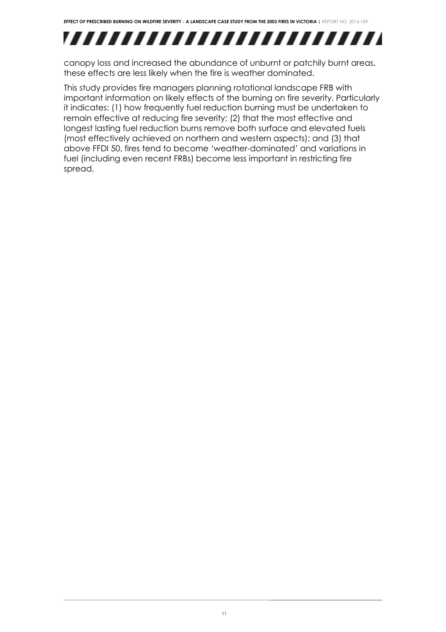

canopy loss and increased the abundance of unburnt or patchily burnt areas, these effects are less likely when the fire is weather dominated.

This study provides fire managers planning rotational landscape FRB with important information on likely effects of the burning on fire severity. Particularly it indicates: (1) how frequently fuel reduction burning must be undertaken to remain effective at reducing fire severity; (2) that the most effective and longest lasting fuel reduction burns remove both surface and elevated fuels (most effectively achieved on northern and western aspects); and (3) that above FFDI 50, fires tend to become 'weather-dominated' and variations in fuel (including even recent FRBs) become less important in restricting fire spread.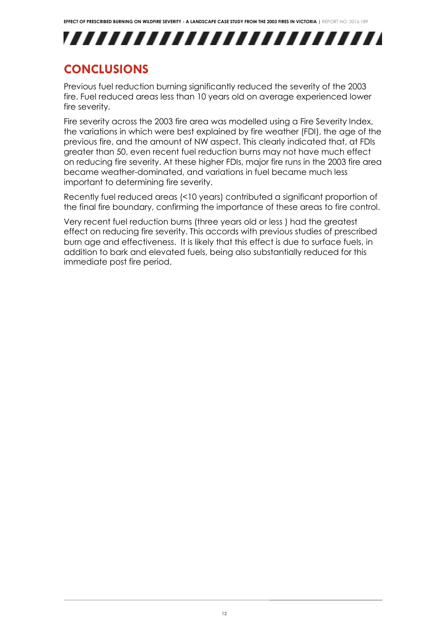## ,,,,,,,,,,,,,,,,,,,,,,,,,,

### **CONCLUSIONS**

Previous fuel reduction burning significantly reduced the severity of the 2003 fire. Fuel reduced areas less than 10 years old on average experienced lower fire severity.

Fire severity across the 2003 fire area was modelled using a Fire Severity Index, the variations in which were best explained by fire weather (FDI), the age of the previous fire, and the amount of NW aspect. This clearly indicated that, at FDIs greater than 50, even recent fuel reduction burns may not have much effect on reducing fire severity. At these higher FDIs, major fire runs in the 2003 fire area became weather-dominated, and variations in fuel became much less important to determining fire severity.

Recently fuel reduced areas (<10 years) contributed a significant proportion of the final fire boundary, confirming the importance of these areas to fire control.

Very recent fuel reduction burns (three years old or less ) had the greatest effect on reducing fire severity. This accords with previous studies of prescribed burn age and effectiveness. It is likely that this effect is due to surface fuels, in addition to bark and elevated fuels, being also substantially reduced for this immediate post fire period.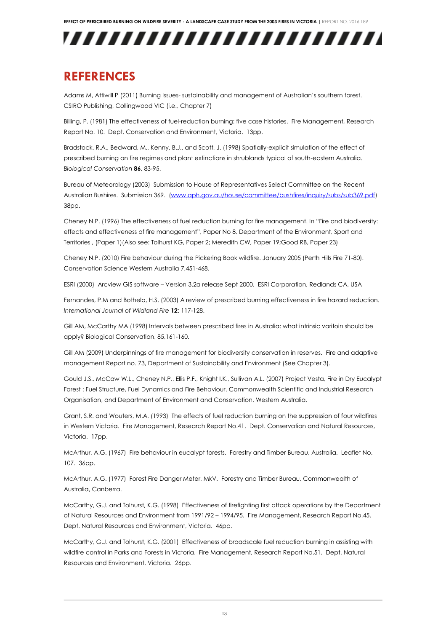

### **REFERENCES**

Adams M, Attiwill P (2011) Burning Issues- sustainability and management of Australian's southern forest. CSIRO Publishing, Collingwood VIC (i.e., Chapter 7)

Billing, P. (1981) The effectiveness of fuel-reduction burning: five case histories. Fire Management, Research Report No. 10. Dept. Conservation and Environment, Victoria. 13pp.

Bradstock, R.A., Bedward, M., Kenny, B.J., and Scott, J. (1998) Spatially-explicit simulation of the effect of prescribed burning on fire regimes and plant extinctions in shrublands typical of south-eastern Australia. *Biological Conservation* **86**, 83-95.

Bureau of Meteorology (2003) Submission to House of Representatives Select Committee on the Recent Australian Bushires. Submission 369. [\(www.aph.gov.au/house/committee/bushfires/inquiry/subs/sub369.pdf\)](http://www.aph.gov.au/house/committee/bushfires/inquiry/subs/sub369.pdf) 38pp.

Cheney N.P. (1996) The effectiveness of fuel reduction burning for fire management. In "Fire and biodiversity: effects and effectiveness of fire management", Paper No 8, Department of the Environment, Sport and Territories , (Paper 1)(Also see: Tolhurst KG, Paper 2; Meredith CW, Paper 19;Good RB, Paper 23)

Cheney N.P. (2010) Fire behaviour during the Pickering Book wildfire. January 2005 (Perth Hills Fire 71-80). Conservation Science Western Australia 7,451-468.

ESRI (2000) Arcview GIS software – Version 3.2a release Sept 2000. ESRI Corporation, Redlands CA, USA

Fernandes, P.M and Bothelo, H.S. (2003) A review of prescribed burning effectiveness in fire hazard reduction. *International Journal of Wildland Fire* **12**: 117-128.

Gill AM, McCarthy MA (1998) Intervals between prescribed fires in Australia: what intrinsic varitoin should be apply? Biological Conservation, 85,161-160.

Gill AM (2009) Underpinnings of fire management for biodiversity conservation in reserves. Fire and adaptive management Report no. 73, Department of Sustainability and Environment (See Chapter 3).

Gould J.S., McCaw W.L., Cheney N.P., Ellis P.F., Knight I.K., Sullivan A.L. (2007) Project Vesta, Fire in Dry Eucalypt Forest : Fuel Structure, Fuel Dynamics and Fire Behaviour. Commonwealth Scientific and Industrial Research Organisation, and Department of Environment and Conservation, Western Australia.

Grant, S.R. and Wouters, M.A. (1993) The effects of fuel reduction burning on the suppression of four wildfires in Western Victoria. Fire Management, Research Report No.41. Dept. Conservation and Natural Resources, Victoria. 17pp.

McArthur, A.G. (1967) Fire behaviour in eucalypt forests. Forestry and Timber Bureau, Australia. Leaflet No. 107. 36pp.

McArthur, A.G. (1977) Forest Fire Danger Meter, MkV. Forestry and Timber Bureau, Commonwealth of Australia, Canberra.

McCarthy, G.J. and Tolhurst, K.G. (1998) Effectiveness of firefighting first attack operations by the Department of Natural Resources and Environment from 1991/92 – 1994/95. Fire Management, Research Report No.45. Dept. Natural Resources and Environment, Victoria. 46pp.

McCarthy, G.J. and Tolhurst, K.G. (2001) Effectiveness of broadscale fuel reduction burning in assisting with wildfire control in Parks and Forests in Victoria. Fire Management, Research Report No.51. Dept. Natural Resources and Environment, Victoria. 26pp.